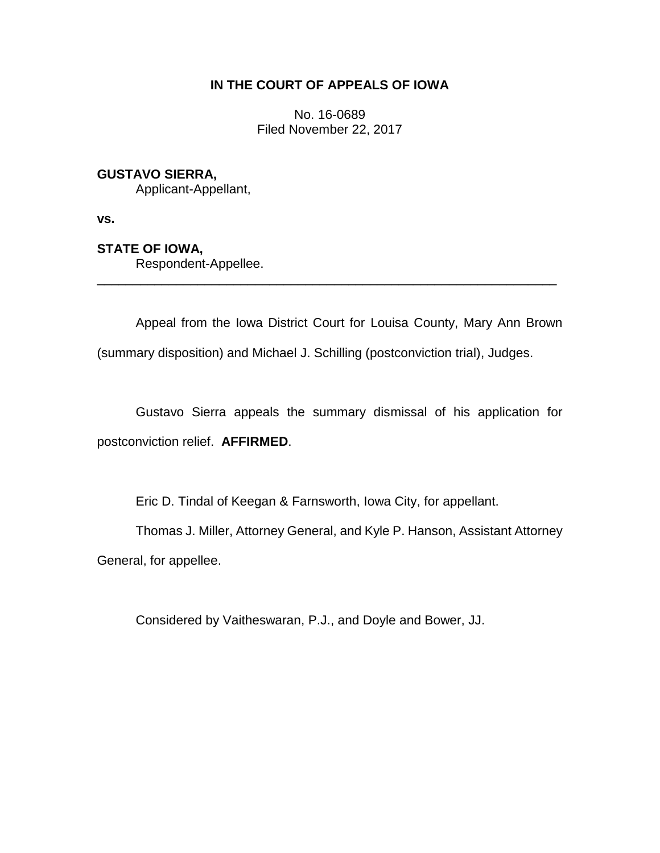# **IN THE COURT OF APPEALS OF IOWA**

No. 16-0689 Filed November 22, 2017

## **GUSTAVO SIERRA,**

Applicant-Appellant,

**vs.**

## **STATE OF IOWA,**

Respondent-Appellee.

Appeal from the Iowa District Court for Louisa County, Mary Ann Brown (summary disposition) and Michael J. Schilling (postconviction trial), Judges.

\_\_\_\_\_\_\_\_\_\_\_\_\_\_\_\_\_\_\_\_\_\_\_\_\_\_\_\_\_\_\_\_\_\_\_\_\_\_\_\_\_\_\_\_\_\_\_\_\_\_\_\_\_\_\_\_\_\_\_\_\_\_\_\_

Gustavo Sierra appeals the summary dismissal of his application for postconviction relief. **AFFIRMED**.

Eric D. Tindal of Keegan & Farnsworth, Iowa City, for appellant.

Thomas J. Miller, Attorney General, and Kyle P. Hanson, Assistant Attorney General, for appellee.

Considered by Vaitheswaran, P.J., and Doyle and Bower, JJ.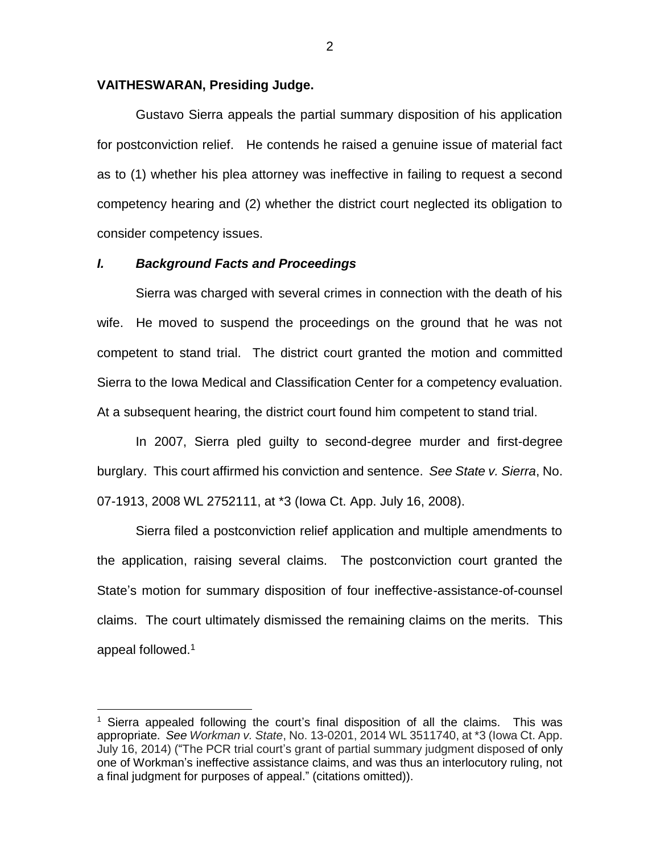### **VAITHESWARAN, Presiding Judge.**

Gustavo Sierra appeals the partial summary disposition of his application for postconviction relief. He contends he raised a genuine issue of material fact as to (1) whether his plea attorney was ineffective in failing to request a second competency hearing and (2) whether the district court neglected its obligation to consider competency issues.

#### *I. Background Facts and Proceedings*

 $\overline{a}$ 

Sierra was charged with several crimes in connection with the death of his wife. He moved to suspend the proceedings on the ground that he was not competent to stand trial. The district court granted the motion and committed Sierra to the Iowa Medical and Classification Center for a competency evaluation. At a subsequent hearing, the district court found him competent to stand trial.

In 2007, Sierra pled guilty to second-degree murder and first-degree burglary. This court affirmed his conviction and sentence. *See State v. Sierra*, No. 07-1913, 2008 WL 2752111, at \*3 (Iowa Ct. App. July 16, 2008).

Sierra filed a postconviction relief application and multiple amendments to the application, raising several claims. The postconviction court granted the State's motion for summary disposition of four ineffective-assistance-of-counsel claims. The court ultimately dismissed the remaining claims on the merits. This appeal followed.<sup>1</sup>

<sup>1</sup> Sierra appealed following the court's final disposition of all the claims. This was appropriate. *See Workman v. State*, No. 13-0201, 2014 WL 3511740, at \*3 (Iowa Ct. App. July 16, 2014) ("The PCR trial court's grant of partial summary judgment disposed of only one of Workman's ineffective assistance claims, and was thus an interlocutory ruling, not a final judgment for purposes of appeal." (citations omitted)).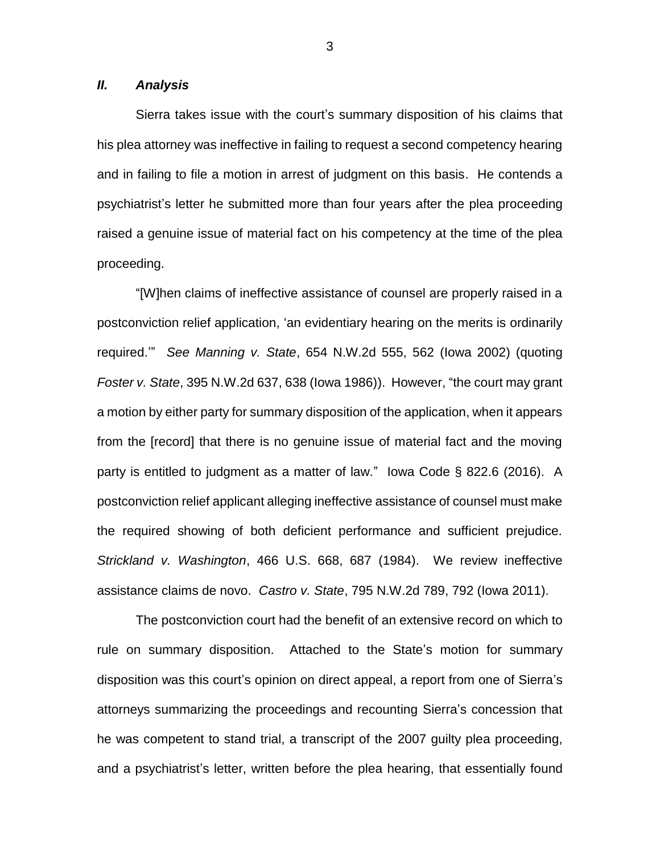### *II. Analysis*

Sierra takes issue with the court's summary disposition of his claims that his plea attorney was ineffective in failing to request a second competency hearing and in failing to file a motion in arrest of judgment on this basis. He contends a psychiatrist's letter he submitted more than four years after the plea proceeding raised a genuine issue of material fact on his competency at the time of the plea proceeding.

"[W]hen claims of ineffective assistance of counsel are properly raised in a postconviction relief application, 'an evidentiary hearing on the merits is ordinarily required.'" *See Manning v. State*, 654 N.W.2d 555, 562 (Iowa 2002) (quoting *Foster v. State*, 395 N.W.2d 637, 638 (Iowa 1986)). However, "the court may grant a motion by either party for summary disposition of the application, when it appears from the [record] that there is no genuine issue of material fact and the moving party is entitled to judgment as a matter of law." Iowa Code § 822.6 (2016). A postconviction relief applicant alleging ineffective assistance of counsel must make the required showing of both deficient performance and sufficient prejudice. *Strickland v. Washington*, 466 U.S. 668, 687 (1984). We review ineffective assistance claims de novo. *Castro v. State*, 795 N.W.2d 789, 792 (Iowa 2011).

The postconviction court had the benefit of an extensive record on which to rule on summary disposition. Attached to the State's motion for summary disposition was this court's opinion on direct appeal, a report from one of Sierra's attorneys summarizing the proceedings and recounting Sierra's concession that he was competent to stand trial, a transcript of the 2007 guilty plea proceeding, and a psychiatrist's letter, written before the plea hearing, that essentially found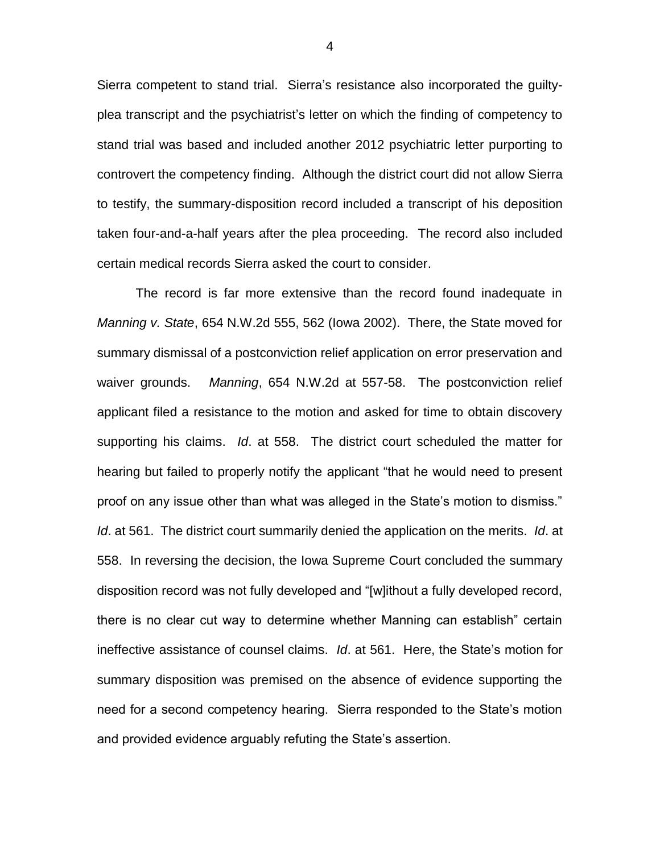Sierra competent to stand trial. Sierra's resistance also incorporated the guiltyplea transcript and the psychiatrist's letter on which the finding of competency to stand trial was based and included another 2012 psychiatric letter purporting to controvert the competency finding. Although the district court did not allow Sierra to testify, the summary-disposition record included a transcript of his deposition taken four-and-a-half years after the plea proceeding. The record also included certain medical records Sierra asked the court to consider.

The record is far more extensive than the record found inadequate in *Manning v. State*, 654 N.W.2d 555, 562 (Iowa 2002). There, the State moved for summary dismissal of a postconviction relief application on error preservation and waiver grounds. *Manning*, 654 N.W.2d at 557-58. The postconviction relief applicant filed a resistance to the motion and asked for time to obtain discovery supporting his claims. *Id*. at 558. The district court scheduled the matter for hearing but failed to properly notify the applicant "that he would need to present proof on any issue other than what was alleged in the State's motion to dismiss." *Id*. at 561. The district court summarily denied the application on the merits. *Id*. at 558. In reversing the decision, the Iowa Supreme Court concluded the summary disposition record was not fully developed and "[w]ithout a fully developed record, there is no clear cut way to determine whether Manning can establish" certain ineffective assistance of counsel claims. *Id*. at 561. Here, the State's motion for summary disposition was premised on the absence of evidence supporting the need for a second competency hearing. Sierra responded to the State's motion and provided evidence arguably refuting the State's assertion.

4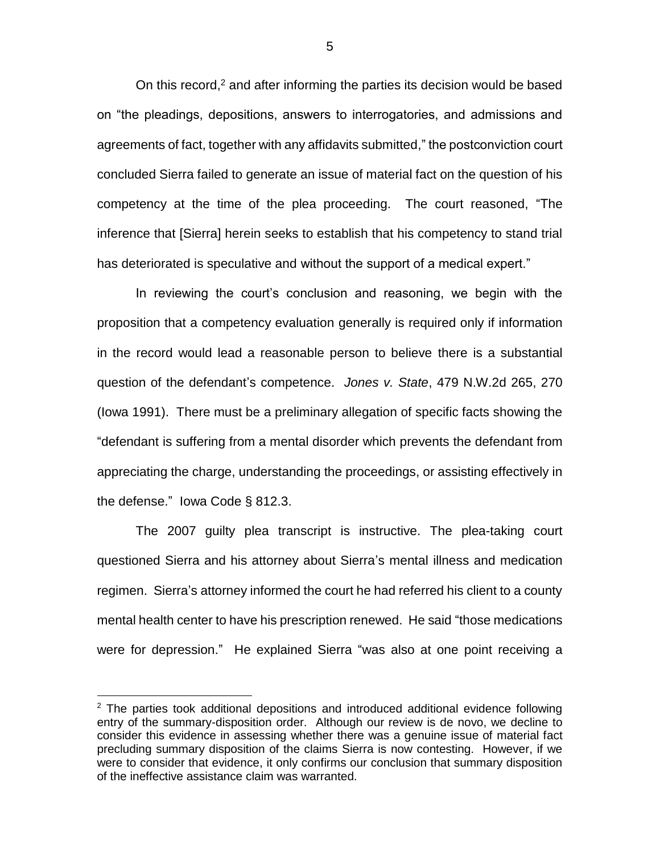On this record, $2$  and after informing the parties its decision would be based on "the pleadings, depositions, answers to interrogatories, and admissions and agreements of fact, together with any affidavits submitted," the postconviction court concluded Sierra failed to generate an issue of material fact on the question of his competency at the time of the plea proceeding. The court reasoned, "The inference that [Sierra] herein seeks to establish that his competency to stand trial has deteriorated is speculative and without the support of a medical expert."

In reviewing the court's conclusion and reasoning, we begin with the proposition that a competency evaluation generally is required only if information in the record would lead a reasonable person to believe there is a substantial question of the defendant's competence. *Jones v. State*, 479 N.W.2d 265, 270 (Iowa 1991). There must be a preliminary allegation of specific facts showing the "defendant is suffering from a mental disorder which prevents the defendant from appreciating the charge, understanding the proceedings, or assisting effectively in the defense." Iowa Code § 812.3.

The 2007 guilty plea transcript is instructive. The plea-taking court questioned Sierra and his attorney about Sierra's mental illness and medication regimen. Sierra's attorney informed the court he had referred his client to a county mental health center to have his prescription renewed. He said "those medications were for depression." He explained Sierra "was also at one point receiving a

 $\overline{a}$ 

 $2$  The parties took additional depositions and introduced additional evidence following entry of the summary-disposition order. Although our review is de novo, we decline to consider this evidence in assessing whether there was a genuine issue of material fact precluding summary disposition of the claims Sierra is now contesting. However, if we were to consider that evidence, it only confirms our conclusion that summary disposition of the ineffective assistance claim was warranted.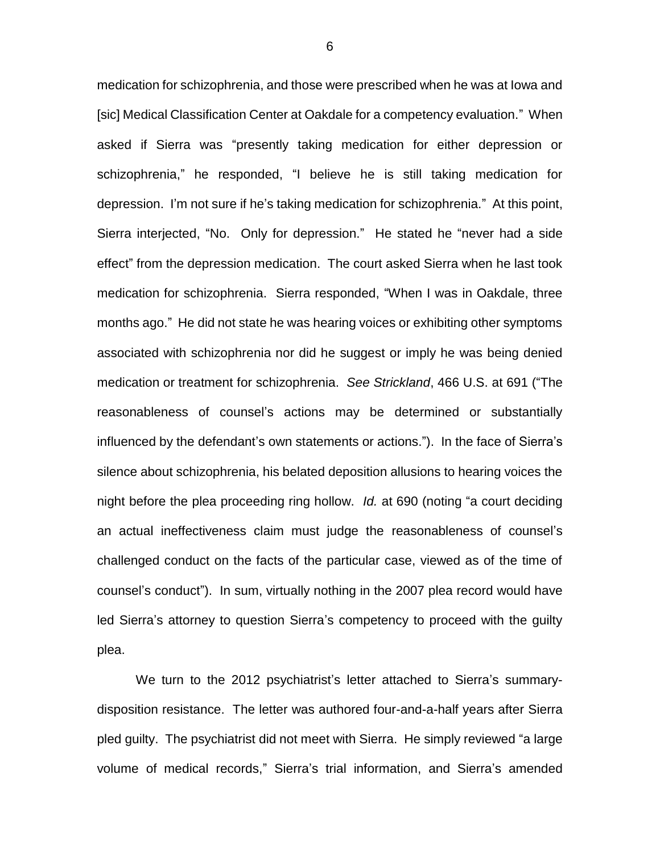medication for schizophrenia, and those were prescribed when he was at Iowa and [sic] Medical Classification Center at Oakdale for a competency evaluation." When asked if Sierra was "presently taking medication for either depression or schizophrenia," he responded, "I believe he is still taking medication for depression. I'm not sure if he's taking medication for schizophrenia." At this point, Sierra interjected, "No. Only for depression." He stated he "never had a side effect" from the depression medication. The court asked Sierra when he last took medication for schizophrenia. Sierra responded, "When I was in Oakdale, three months ago." He did not state he was hearing voices or exhibiting other symptoms associated with schizophrenia nor did he suggest or imply he was being denied medication or treatment for schizophrenia. *See Strickland*, 466 U.S. at 691 ("The reasonableness of counsel's actions may be determined or substantially influenced by the defendant's own statements or actions."). In the face of Sierra's silence about schizophrenia, his belated deposition allusions to hearing voices the night before the plea proceeding ring hollow. *Id.* at 690 (noting "a court deciding an actual ineffectiveness claim must judge the reasonableness of counsel's challenged conduct on the facts of the particular case, viewed as of the time of counsel's conduct"). In sum, virtually nothing in the 2007 plea record would have led Sierra's attorney to question Sierra's competency to proceed with the guilty plea.

We turn to the 2012 psychiatrist's letter attached to Sierra's summarydisposition resistance. The letter was authored four-and-a-half years after Sierra pled guilty. The psychiatrist did not meet with Sierra. He simply reviewed "a large volume of medical records," Sierra's trial information, and Sierra's amended

6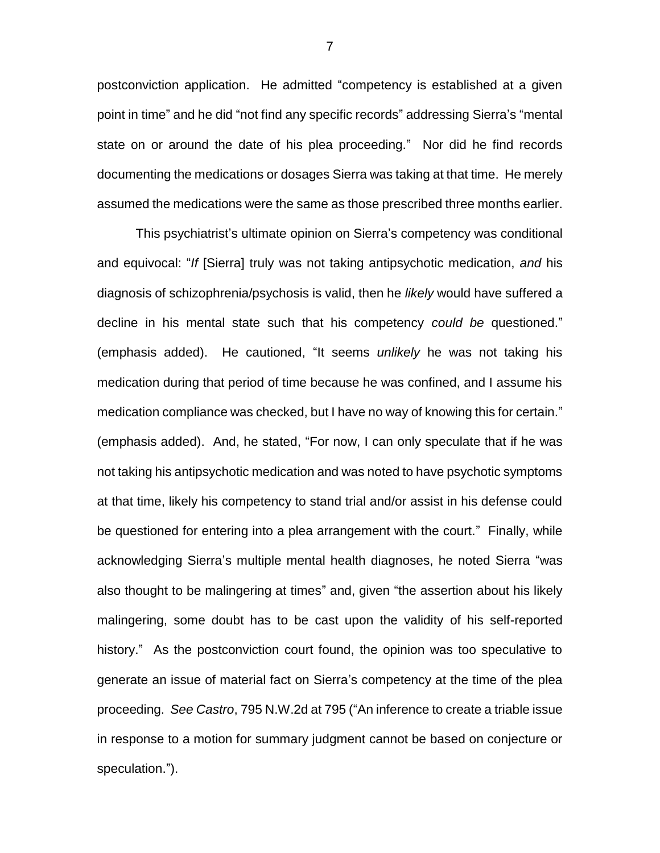postconviction application. He admitted "competency is established at a given point in time" and he did "not find any specific records" addressing Sierra's "mental state on or around the date of his plea proceeding." Nor did he find records documenting the medications or dosages Sierra was taking at that time. He merely assumed the medications were the same as those prescribed three months earlier.

This psychiatrist's ultimate opinion on Sierra's competency was conditional and equivocal: "*If* [Sierra] truly was not taking antipsychotic medication, *and* his diagnosis of schizophrenia/psychosis is valid, then he *likely* would have suffered a decline in his mental state such that his competency *could be* questioned." (emphasis added). He cautioned, "It seems *unlikely* he was not taking his medication during that period of time because he was confined, and I assume his medication compliance was checked, but I have no way of knowing this for certain." (emphasis added). And, he stated, "For now, I can only speculate that if he was not taking his antipsychotic medication and was noted to have psychotic symptoms at that time, likely his competency to stand trial and/or assist in his defense could be questioned for entering into a plea arrangement with the court." Finally, while acknowledging Sierra's multiple mental health diagnoses, he noted Sierra "was also thought to be malingering at times" and, given "the assertion about his likely malingering, some doubt has to be cast upon the validity of his self-reported history." As the postconviction court found, the opinion was too speculative to generate an issue of material fact on Sierra's competency at the time of the plea proceeding. *See Castro*, 795 N.W.2d at 795 ("An inference to create a triable issue in response to a motion for summary judgment cannot be based on conjecture or speculation.").